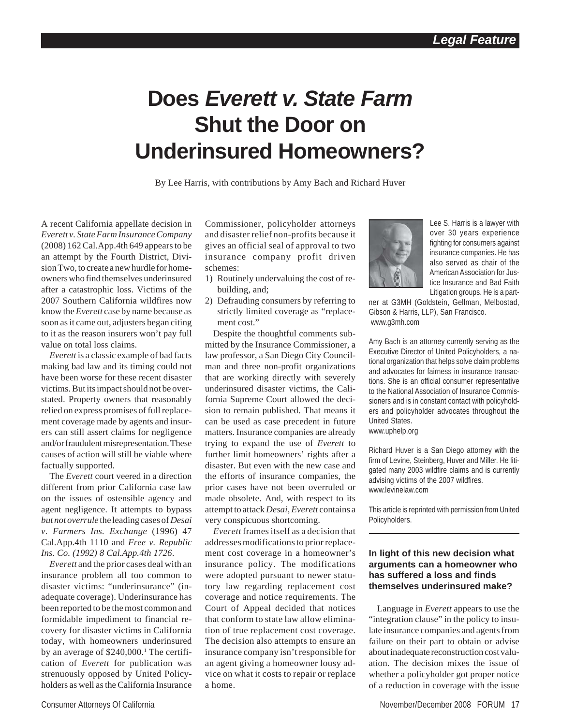# **Does** *Everett v. State Farm* **Shut the Door on Underinsured Homeowners?**

By Lee Harris, with contributions by Amy Bach and Richard Huver

A recent California appellate decision in *Everett v. State Farm Insurance Company* (2008) 162 Cal.App.4th 649 appears to be an attempt by the Fourth District, Division Two, to create a new hurdle for homeowners who find themselves underinsured after a catastrophic loss. Victims of the 2007 Southern California wildfires now know the *Everett* case by name because as soon as it came out, adjusters began citing to it as the reason insurers won't pay full value on total loss claims.

*Everett* is a classic example of bad facts making bad law and its timing could not have been worse for these recent disaster victims. But its impact should not be overstated. Property owners that reasonably relied on express promises of full replacement coverage made by agents and insurers can still assert claims for negligence and/or fraudulent misrepresentation. These causes of action will still be viable where factually supported.

The *Everett* court veered in a direction different from prior California case law on the issues of ostensible agency and agent negligence. It attempts to bypass *but not overrule* the leading cases of *Desai v. Farmers Ins. Exchange* (1996) 47 Cal.App.4th 1110 and *Free v. Republic Ins. Co. (1992) 8 Cal.App.4th 1726*.

*Everett* and the prior cases deal with an insurance problem all too common to disaster victims: "underinsurance" (inadequate coverage). Underinsurance has been reported to be the most common and formidable impediment to financial recovery for disaster victims in California today, with homeowners underinsured by an average of \$240,000.<sup>1</sup> The certification of *Everett* for publication was strenuously opposed by United Policyholders as well as the California Insurance Commissioner, policyholder attorneys and disaster relief non-profits because it gives an official seal of approval to two insurance company profit driven schemes:

- 1) Routinely undervaluing the cost of rebuilding, and;
- 2) Defrauding consumers by referring to strictly limited coverage as "replacement cost."

Despite the thoughtful comments submitted by the Insurance Commissioner, a law professor, a San Diego City Councilman and three non-profit organizations that are working directly with severely underinsured disaster victims, the California Supreme Court allowed the decision to remain published. That means it can be used as case precedent in future matters. Insurance companies are already trying to expand the use of *Everett* to further limit homeowners' rights after a disaster. But even with the new case and the efforts of insurance companies, the prior cases have not been overruled or made obsolete. And, with respect to its attempt to attack *Desai*, *Everett* contains a very conspicuous shortcoming.

*Everett* frames itself as a decision that addresses modifications to prior replacement cost coverage in a homeowner's insurance policy. The modifications were adopted pursuant to newer statutory law regarding replacement cost coverage and notice requirements. The Court of Appeal decided that notices that conform to state law allow elimination of true replacement cost coverage. The decision also attempts to ensure an insurance company isn't responsible for an agent giving a homeowner lousy advice on what it costs to repair or replace a home.



Lee S. Harris is a lawyer with over 30 years experience fighting for consumers against insurance companies. He has also served as chair of the American Association for Justice Insurance and Bad Faith Litigation groups. He is a part-

ner at G3MH (Goldstein, Gellman, Melbostad, Gibson & Harris, LLP), San Francisco. www.g3mh.com

Amy Bach is an attorney currently serving as the Executive Director of United Policyholders, a national organization that helps solve claim problems and advocates for fairness in insurance transactions. She is an official consumer representative to the National Association of Insurance Commissioners and is in constant contact with policyholders and policyholder advocates throughout the United States. www.uphelp.org

Richard Huver is a San Diego attorney with the firm of Levine, Steinberg, Huver and Miller. He litigated many 2003 wildfire claims and is currently advising victims of the 2007 wildfires. www.levinelaw.com

This article is reprinted with permission from United Policyholders.

#### **In light of this new decision what arguments can a homeowner who has suffered a loss and finds themselves underinsured make?**

Language in *Everett* appears to use the "integration clause" in the policy to insulate insurance companies and agents from failure on their part to obtain or advise about inadequate reconstruction cost valuation. The decision mixes the issue of whether a policyholder got proper notice of a reduction in coverage with the issue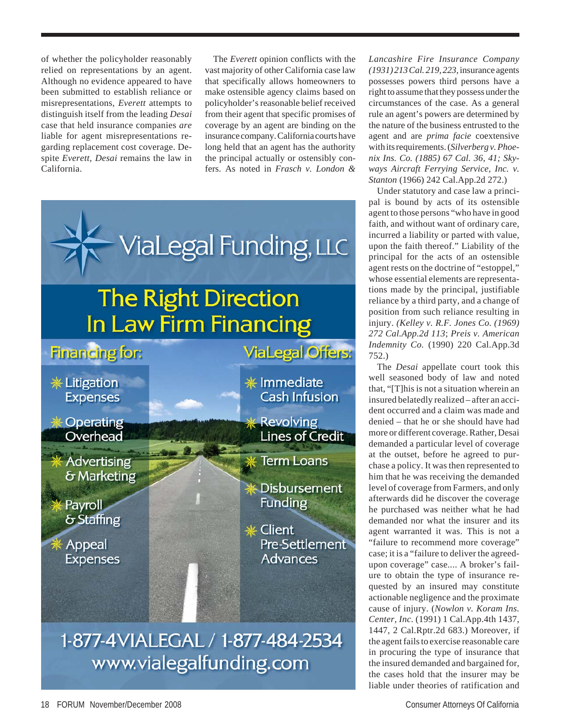of whether the policyholder reasonably relied on representations by an agent. Although no evidence appeared to have been submitted to establish reliance or misrepresentations, *Everett* attempts to distinguish itself from the leading *Desai* case that held insurance companies *are* liable for agent misrepresentations regarding replacement cost coverage. Despite *Everett*, *Desai* remains the law in California.

The *Everett* opinion conflicts with the vast majority of other California case law that specifically allows homeowners to make ostensible agency claims based on policyholder's reasonable belief received from their agent that specific promises of coverage by an agent are binding on the insurance company. California courts have long held that an agent has the authority the principal actually or ostensibly confers. As noted in *Frasch v. London &*



## 1-877-4VIALEGAL / 1-877-484-2534 www.vialegalfunding.com

*Lancashire Fire Insurance Company (1931) 213 Cal. 219, 223,* insurance agents possesses powers third persons have a right to assume that they possess under the circumstances of the case. As a general rule an agent's powers are determined by the nature of the business entrusted to the agent and are *prima facie* coextensive with its requirements. (*Silverberg v. Phoenix Ins. Co. (1885) 67 Cal. 36, 41; Skyways Aircraft Ferrying Service, Inc. v. Stanton* (1966) 242 Cal.App.2d 272.)

Under statutory and case law a principal is bound by acts of its ostensible agent to those persons "who have in good faith, and without want of ordinary care, incurred a liability or parted with value, upon the faith thereof." Liability of the principal for the acts of an ostensible agent rests on the doctrine of "estoppel," whose essential elements are representations made by the principal, justifiable reliance by a third party, and a change of position from such reliance resulting in injury. *(Kelley v. R.F. Jones Co. (1969) 272 Cal.App.2d 113*; *Preis v. American Indemnity Co.* (1990) 220 Cal.App.3d 752.)

The *Desai* appellate court took this well seasoned body of law and noted that, "[T]his is not a situation wherein an insured belatedly realized – after an accident occurred and a claim was made and denied – that he or she should have had more or different coverage. Rather, Desai demanded a particular level of coverage at the outset, before he agreed to purchase a policy. It was then represented to him that he was receiving the demanded level of coverage from Farmers, and only afterwards did he discover the coverage he purchased was neither what he had demanded nor what the insurer and its agent warranted it was. This is not a "failure to recommend more coverage" case; it is a "failure to deliver the agreedupon coverage" case.... A broker's failure to obtain the type of insurance requested by an insured may constitute actionable negligence and the proximate cause of injury. (*Nowlon v. Koram Ins. Center, Inc.* (1991) 1 Cal.App.4th 1437, 1447, 2 Cal.Rptr.2d 683.) Moreover, if the agent fails to exercise reasonable care in procuring the type of insurance that the insured demanded and bargained for, the cases hold that the insurer may be liable under theories of ratification and